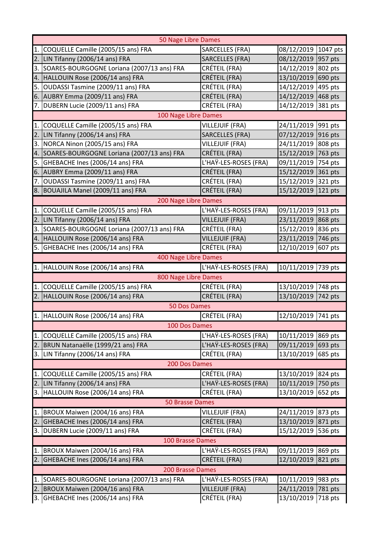| 50 Nage Libre Dames    |                                            |                        |                        |  |  |  |
|------------------------|--------------------------------------------|------------------------|------------------------|--|--|--|
| 1.                     | COQUELLE Camille (2005/15 ans) FRA         | <b>SARCELLES (FRA)</b> | 1047 pts<br>08/12/2019 |  |  |  |
| 2.                     | LIN Tifanny (2006/14 ans) FRA              | SARCELLES (FRA)        | 08/12/2019<br>957 pts  |  |  |  |
| 3.                     | SOARES-BOURGOGNE Loriana (2007/13 ans) FRA | CRÉTEIL (FRA)          | 14/12/2019 802 pts     |  |  |  |
| 4.                     | HALLOUIN Rose (2006/14 ans) FRA            | CRÉTEIL (FRA)          | 13/10/2019<br>690 pts  |  |  |  |
| 5.                     | OUDASSI Tasmine (2009/11 ans) FRA          | CRÉTEIL (FRA)          | 14/12/2019<br>495 pts  |  |  |  |
|                        | 6. AUBRY Emma (2009/11 ans) FRA            | CRÉTEIL (FRA)          | 14/12/2019<br>468 pts  |  |  |  |
|                        | 7. DUBERN Lucie (2009/11 ans) FRA          | CRÉTEIL (FRA)          | 14/12/2019<br>381 pts  |  |  |  |
|                        | 100 Nage Libre Dames                       |                        |                        |  |  |  |
| 1.                     | COQUELLE Camille (2005/15 ans) FRA         | <b>VILLEJUIF (FRA)</b> | 24/11/2019<br>991 pts  |  |  |  |
| 2.                     | LIN Tifanny (2006/14 ans) FRA              | SARCELLES (FRA)        | 916 pts<br>07/12/2019  |  |  |  |
| 3.                     | NORCA Ninon (2005/15 ans) FRA              | VILLEJUIF (FRA)        | 808 pts<br>24/11/2019  |  |  |  |
| 4.                     | SOARES-BOURGOGNE Loriana (2007/13 ans) FRA | CRÉTEIL (FRA)          | 763 pts<br>15/12/2019  |  |  |  |
| 5.                     | GHEBACHE Ines (2006/14 ans) FRA            | L'HAŸ-LES-ROSES (FRA)  | 09/11/2019<br>754 pts  |  |  |  |
|                        | 6. AUBRY Emma (2009/11 ans) FRA            | CRÉTEIL (FRA)          | 15/12/2019<br>361 pts  |  |  |  |
| 7.                     | OUDASSI Tasmine (2009/11 ans) FRA          | CRÉTEIL (FRA)          | 15/12/2019<br>321 pts  |  |  |  |
|                        | 8. BOUAJILA Manel (2009/11 ans) FRA        | CRÉTEIL (FRA)          | 15/12/2019<br>121 pts  |  |  |  |
| 200 Nage Libre Dames   |                                            |                        |                        |  |  |  |
| 1.                     | COQUELLE Camille (2005/15 ans) FRA         | L'HAŸ-LES-ROSES (FRA)  | 09/11/2019<br>913 pts  |  |  |  |
| 2.1                    | LIN Tifanny (2006/14 ans) FRA              | <b>VILLEJUIF (FRA)</b> | 868 pts<br>23/11/2019  |  |  |  |
| 3.                     | SOARES-BOURGOGNE Loriana (2007/13 ans) FRA | CRÉTEIL (FRA)          | 15/12/2019<br>836 pts  |  |  |  |
| 4.                     | HALLOUIN Rose (2006/14 ans) FRA            | <b>VILLEJUIF (FRA)</b> | 23/11/2019<br>746 pts  |  |  |  |
|                        | 5. GHEBACHE Ines (2006/14 ans) FRA         | CRÉTEIL (FRA)          | 12/10/2019<br>607 pts  |  |  |  |
|                        | 400 Nage Libre Dames                       |                        |                        |  |  |  |
|                        | 1. HALLOUIN Rose (2006/14 ans) FRA         | L'HAY-LES-ROSES (FRA)  | 10/11/2019 739 pts     |  |  |  |
|                        | 800 Nage Libre Dames                       |                        |                        |  |  |  |
|                        | 1. COQUELLE Camille (2005/15 ans) FRA      | CRÉTEIL (FRA)          | 13/10/2019<br>748 pts  |  |  |  |
| 2.                     | HALLOUIN Rose (2006/14 ans) FRA            | CRÉTEIL (FRA)          | 13/10/2019<br>742 pts  |  |  |  |
|                        | 50 Dos Dames                               |                        |                        |  |  |  |
|                        | 1. HALLOUIN Rose (2006/14 ans) FRA         | CRÉTEIL (FRA)          | 12/10/2019 741 pts     |  |  |  |
| 100 Dos Dames          |                                            |                        |                        |  |  |  |
| $\mathbf{1}$ .         | COQUELLE Camille (2005/15 ans) FRA         | L'HAŸ-LES-ROSES (FRA)  | 10/11/2019<br>869 pts  |  |  |  |
| 2.                     | BRUN Natanaëlle (1999/21 ans) FRA          | L'HAŸ-LES-ROSES (FRA)  | 09/11/2019<br>693 pts  |  |  |  |
| 3.                     | LIN Tifanny (2006/14 ans) FRA              | CRÉTEIL (FRA)          | 13/10/2019<br>685 pts  |  |  |  |
| 200 Dos Dames          |                                            |                        |                        |  |  |  |
| 1.                     | COQUELLE Camille (2005/15 ans) FRA         | CRÉTEIL (FRA)          | 13/10/2019<br>824 pts  |  |  |  |
| 2.                     | LIN Tifanny (2006/14 ans) FRA              | L'HAŸ-LES-ROSES (FRA)  | 10/11/2019<br>750 pts  |  |  |  |
| 13.                    | HALLOUIN Rose (2006/14 ans) FRA            | CRÉTEIL (FRA)          | 13/10/2019<br>652 pts  |  |  |  |
| <b>50 Brasse Dames</b> |                                            |                        |                        |  |  |  |
| 1.                     | BROUX Maiwen (2004/16 ans) FRA             | <b>VILLEJUIF (FRA)</b> | 24/11/2019<br>873 pts  |  |  |  |
| 2.                     | GHEBACHE Ines (2006/14 ans) FRA            | CRÉTEIL (FRA)          | 13/10/2019<br>871 pts  |  |  |  |
| 13.                    | DUBERN Lucie (2009/11 ans) FRA             | CRÉTEIL (FRA)          | 15/12/2019<br>536 pts  |  |  |  |
|                        | 100 Brasse Dames                           |                        |                        |  |  |  |
| 1.                     | BROUX Maiwen (2004/16 ans) FRA             | L'HAŸ-LES-ROSES (FRA)  | 09/11/2019<br>869 pts  |  |  |  |
| 2.                     | GHEBACHE Ines (2006/14 ans) FRA            | CRÉTEIL (FRA)          | 12/10/2019<br>821 pts  |  |  |  |
| 200 Brasse Dames       |                                            |                        |                        |  |  |  |
| 1.                     | SOARES-BOURGOGNE Loriana (2007/13 ans) FRA | L'HAŸ-LES-ROSES (FRA)  | 10/11/2019<br>983 pts  |  |  |  |
| 2.                     | BROUX Maiwen (2004/16 ans) FRA             | <b>VILLEJUIF (FRA)</b> | 24/11/2019<br>781 pts  |  |  |  |
| 3.                     | GHEBACHE Ines (2006/14 ans) FRA            | CRÉTEIL (FRA)          | 13/10/2019<br>718 pts  |  |  |  |